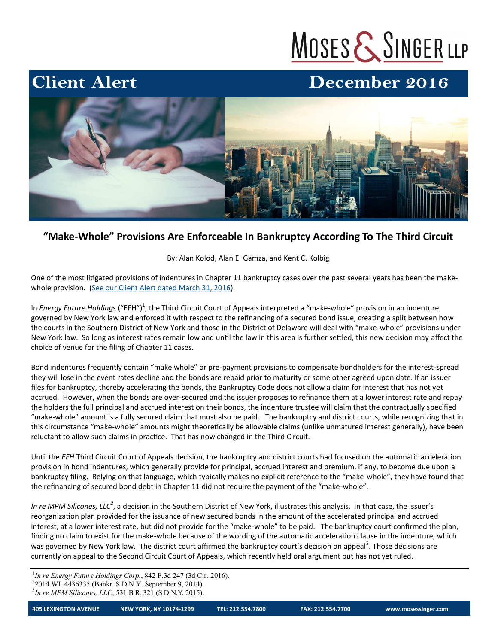# MOSES & SINGER LLP

## December 2016



### **"Make-Whole" Provisions Are Enforceable In Bankruptcy According To The Third Circuit**

By: Alan Kolod, Alan E. Gamza, and Kent C. Kolbig

One of the most litigated provisions of indentures in Chapter 11 bankruptcy cases over the past several years has been the makewhole provision. ([See our Client Alert dated March 31, 2016\).](http://www.mosessinger.com/articles/2082-the-final-word-make-whole-premium-energy)

In *Energy Future Holdings* ("EFH")<sup>1</sup>, the Third Circuit Court of Appeals interpreted a "make-whole" provision in an indenture governed by New York law and enforced it with respect to the refinancing of a secured bond issue, creating a split between how the courts in the Southern District of New York and those in the District of Delaware will deal with "make-whole" provisions under New York law. So long as interest rates remain low and until the law in this area is further settled, this new decision may affect the choice of venue for the filing of Chapter 11 cases.

Bond indentures frequently contain "make whole" or pre-payment provisions to compensate bondholders for the interest-spread they will lose in the event rates decline and the bonds are repaid prior to maturity or some other agreed upon date. If an issuer files for bankruptcy, thereby accelerating the bonds, the Bankruptcy Code does not allow a claim for interest that has not yet accrued. However, when the bonds are over-secured and the issuer proposes to refinance them at a lower interest rate and repay the holders the full principal and accrued interest on their bonds, the indenture trustee will claim that the contractually specified "make-whole" amount is a fully secured claim that must also be paid. The bankruptcy and district courts, while recognizing that in this circumstance "make-whole" amounts might theoretically be allowable claims (unlike unmatured interest generally), have been reluctant to allow such claims in practice. That has now changed in the Third Circuit.

Until the *EFH* Third Circuit Court of Appeals decision, the bankruptcy and district courts had focused on the automatic acceleration provision in bond indentures, which generally provide for principal, accrued interest and premium, if any, to become due upon a bankruptcy filing. Relying on that language, which typically makes no explicit reference to the "make-whole", they have found that the refinancing of secured bond debt in Chapter 11 did not require the payment of the "make-whole".

In re MPM Silicones, LLC<sup>2</sup>, a decision in the Southern District of New York, illustrates this analysis. In that case, the issuer's reorganization plan provided for the issuance of new secured bonds in the amount of the accelerated principal and accrued interest, at a lower interest rate, but did not provide for the "make-whole" to be paid. The bankruptcy court confirmed the plan, finding no claim to exist for the make-whole because of the wording of the automatic acceleration clause in the indenture, which was governed by New York law. The district court affirmed the bankruptcy court's decision on appeal<sup>3</sup>. Those decisions are currently on appeal to the Second Circuit Court of Appeals, which recently held oral argument but has not yet ruled.

<sup>1</sup>In re Energy Future Holdings Corp., 842 F.3d 247 (3d Cir. 2016). 2 2014 WL 4436335 (Bankr. S.D.N.Y. September 9, 2014). 3 *In re MPM Silicones, LLC*, 531 B.R. 321 (S.D.N.Y. 2015).

**Client Alert**